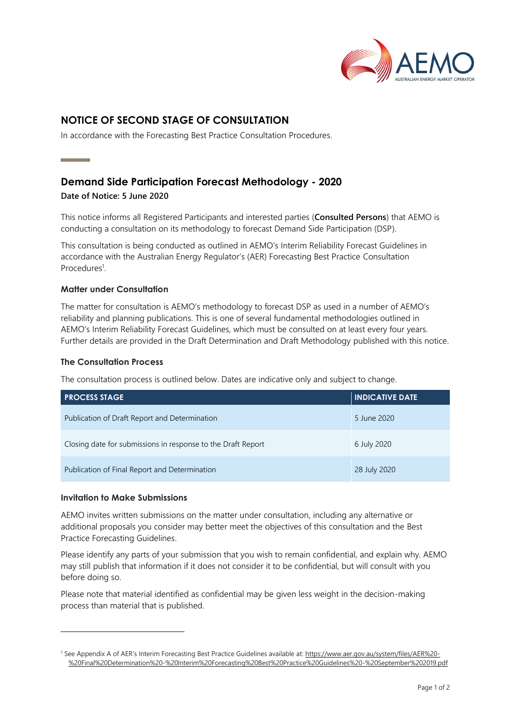

# **NOTICE OF SECOND STAGE OF CONSULTATION**

In accordance with the Forecasting Best Practice Consultation Procedures.

## **Demand Side Participation Forecast Methodology - 2020**

**Date of Notice: 5 June 2020**

**Contract Contract Contract** 

This notice informs all Registered Participants and interested parties (**Consulted Persons**) that AEMO is conducting a consultation on its methodology to forecast Demand Side Participation (DSP).

This consultation is being conducted as outlined in AEMO's Interim Reliability Forecast Guidelines in accordance with the Australian Energy Regulator's (AER) Forecasting Best Practice Consultation Procedures<sup>1</sup>.

## **Matter under Consultation**

The matter for consultation is AEMO's methodology to forecast DSP as used in a number of AEMO's reliability and planning publications. This is one of several fundamental methodologies outlined in AEMO's Interim Reliability Forecast Guidelines, which must be consulted on at least every four years. Further details are provided in the Draft Determination and Draft Methodology published with this notice.

## **The Consultation Process**

The consultation process is outlined below. Dates are indicative only and subject to change.

| <b>PROCESS STAGE</b>                                         | <b>INDICATIVE DATE</b> |
|--------------------------------------------------------------|------------------------|
| Publication of Draft Report and Determination                | 5 June 2020            |
| Closing date for submissions in response to the Draft Report | 6 July 2020            |
| Publication of Final Report and Determination                | 28 July 2020           |

## **Invitation to Make Submissions**

AEMO invites written submissions on the matter under consultation, including any alternative or additional proposals you consider may better meet the objectives of this consultation and the Best Practice Forecasting Guidelines.

Please identify any parts of your submission that you wish to remain confidential, and explain why. AEMO may still publish that information if it does not consider it to be confidential, but will consult with you before doing so.

Please note that material identified as confidential may be given less weight in the decision-making process than material that is published.

<sup>1</sup> See Appendix A of AER's Interim Forecasting Best Practice Guidelines available at: [https://www.aer.gov.au/system/files/AER%20-](https://www.aer.gov.au/system/files/AER%20-%20Final%20Determination%20-%20Interim%20Forecasting%20Best%20Practice%20Guidelines%20-%20September%202019.pdf) [%20Final%20Determination%20-%20Interim%20Forecasting%20Best%20Practice%20Guidelines%20-%20September%202019.pdf](https://www.aer.gov.au/system/files/AER%20-%20Final%20Determination%20-%20Interim%20Forecasting%20Best%20Practice%20Guidelines%20-%20September%202019.pdf)